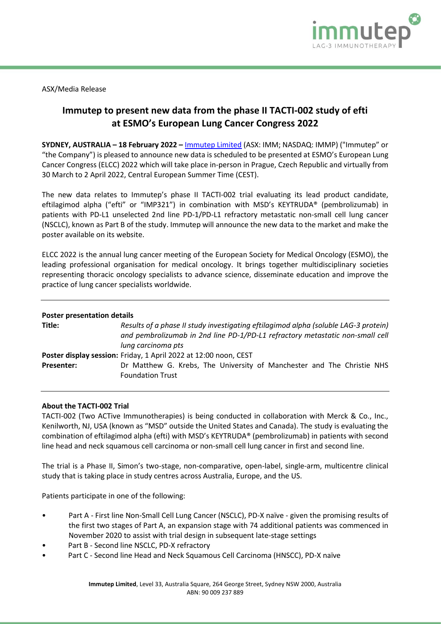

ASX/Media Release

# **Immutep to present new data from the phase II TACTI-002 study of efti at ESMO's European Lung Cancer Congress 2022**

**SYDNEY, AUSTRALIA – 18 February 2022 –** [Immutep Limited](http://www.immutep.com/) (ASX: IMM; NASDAQ: IMMP) ("Immutep" or "the Company") is pleased to announce new data is scheduled to be presented at ESMO's European Lung Cancer Congress (ELCC) 2022 which will take place in-person in Prague, Czech Republic and virtually from 30 March to 2 April 2022, Central European Summer Time (CEST).

The new data relates to Immutep's phase II TACTI-002 trial evaluating its lead product candidate, eftilagimod alpha ("efti" or "IMP321") in combination with MSD's KEYTRUDA® (pembrolizumab) in patients with PD-L1 unselected 2nd line PD-1/PD-L1 refractory metastatic non-small cell lung cancer (NSCLC), known as Part B of the study. Immutep will announce the new data to the market and make the poster available on its website.

ELCC 2022 is the annual lung cancer meeting of the European Society for Medical Oncology (ESMO), the leading professional organisation for medical oncology. It brings together multidisciplinary societies representing thoracic oncology specialists to advance science, disseminate education and improve the practice of lung cancer specialists worldwide.

## **Poster presentation details**

| Title:            | Results of a phase II study investigating eftilagimod alpha (soluble LAG-3 protein)<br>and pembrolizumab in 2nd line PD-1/PD-L1 refractory metastatic non-small cell<br>lung carcinoma pts |
|-------------------|--------------------------------------------------------------------------------------------------------------------------------------------------------------------------------------------|
|                   | Poster display session: Friday, 1 April 2022 at 12:00 noon, CEST                                                                                                                           |
| <b>Presenter:</b> | Dr Matthew G. Krebs, The University of Manchester and The Christie NHS<br><b>Foundation Trust</b>                                                                                          |

## **About the TACTI-002 Trial**

TACTI-002 (Two ACTive Immunotherapies) is being conducted in collaboration with Merck & Co., Inc., Kenilworth, NJ, USA (known as "MSD" outside the United States and Canada). The study is evaluating the combination of eftilagimod alpha (efti) with MSD's KEYTRUDA® (pembrolizumab) in patients with second line head and neck squamous cell carcinoma or non-small cell lung cancer in first and second line.

The trial is a Phase II, Simon's two-stage, non-comparative, open-label, single-arm, multicentre clinical study that is taking place in study centres across Australia, Europe, and the US.

Patients participate in one of the following:

- Part A First line Non-Small Cell Lung Cancer (NSCLC), PD-X naïve given the promising results of the first two stages of Part A, an expansion stage with 74 additional patients was commenced in November 2020 to assist with trial design in subsequent late-stage settings
- Part B Second line NSCLC, PD-X refractory
- Part C Second line Head and Neck Squamous Cell Carcinoma (HNSCC), PD-X naïve